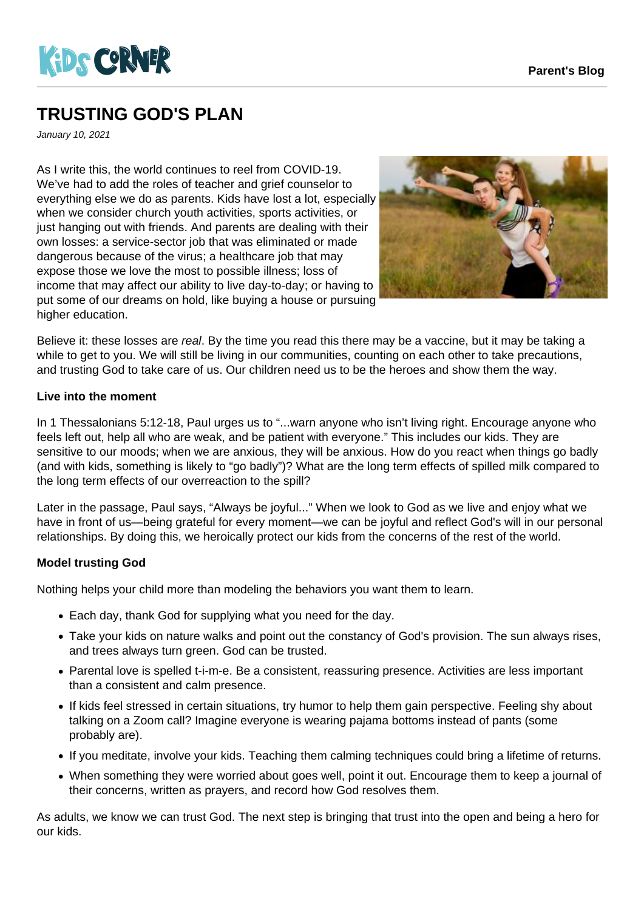

## **TRUSTING GOD'S PLAN**

January 10, 2021

As I write this, the world continues to reel from COVID-19. We've had to add the roles of teacher and grief counselor to everything else we do as parents. Kids have lost a lot, especially when we consider church youth activities, sports activities, or just hanging out with friends. And parents are dealing with their own losses: a service-sector job that was eliminated or made dangerous because of the virus; a healthcare job that may expose those we love the most to possible illness; loss of income that may affect our ability to live day-to-day; or having to put some of our dreams on hold, like buying a house or pursuing higher education.



Believe it: these losses are real. By the time you read this there may be a vaccine, but it may be taking a while to get to you. We will still be living in our communities, counting on each other to take precautions, and trusting God to take care of us. Our children need us to be the heroes and show them the way.

## **Live into the moment**

In 1 Thessalonians 5:12-18, Paul urges us to "...warn anyone who isn't living right. Encourage anyone who feels left out, help all who are weak, and be patient with everyone." This includes our kids. They are sensitive to our moods; when we are anxious, they will be anxious. How do you react when things go badly (and with kids, something is likely to "go badly")? What are the long term effects of spilled milk compared to the long term effects of our overreaction to the spill?

Later in the passage, Paul says, "Always be joyful..." When we look to God as we live and enjoy what we have in front of us—being grateful for every moment—we can be joyful and reflect God's will in our personal relationships. By doing this, we heroically protect our kids from the concerns of the rest of the world.

## **Model trusting God**

Nothing helps your child more than modeling the behaviors you want them to learn.

- Each day, thank God for supplying what you need for the day.
- Take your kids on nature walks and point out the constancy of God's provision. The sun always rises, and trees always turn green. God can be trusted.
- Parental love is spelled t-i-m-e. Be a consistent, reassuring presence. Activities are less important than a consistent and calm presence.
- If kids feel stressed in certain situations, try humor to help them gain perspective. Feeling shy about talking on a Zoom call? Imagine everyone is wearing pajama bottoms instead of pants (some probably are).
- If you meditate, involve your kids. Teaching them calming techniques could bring a lifetime of returns.
- When something they were worried about goes well, point it out. Encourage them to keep a journal of their concerns, written as prayers, and record how God resolves them.

As adults, we know we can trust God. The next step is bringing that trust into the open and being a hero for our kids.